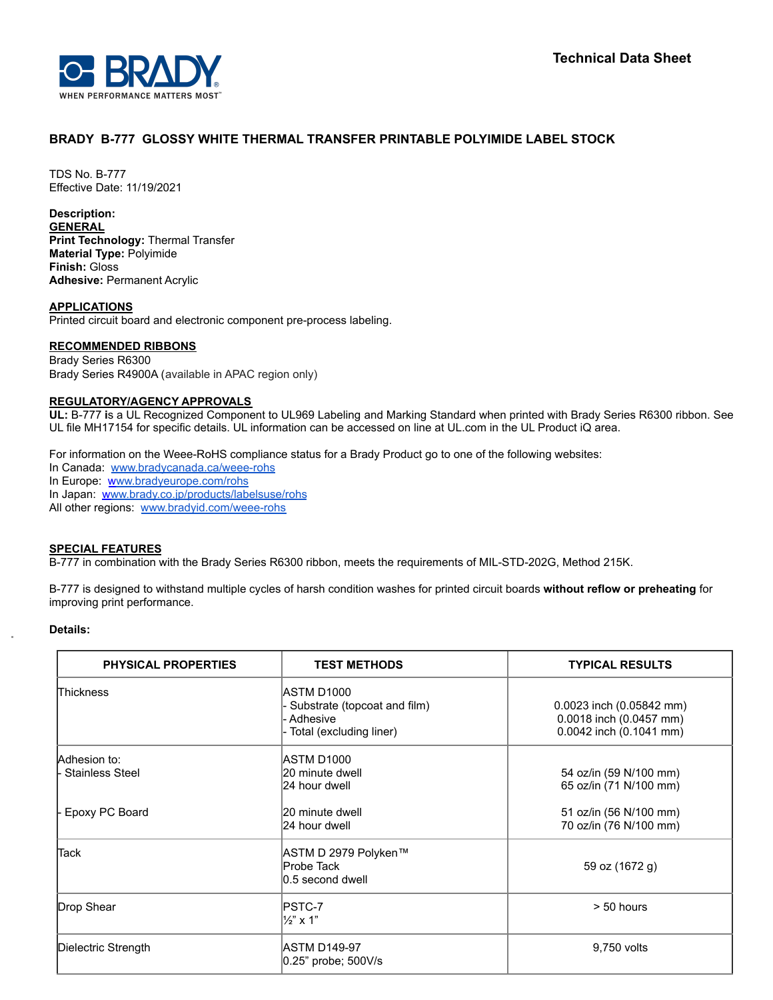

# **BRADY B-777 GLOSSY WHITE THERMAL TRANSFER PRINTABLE POLYIMIDE LABEL STOCK**

TDS No. B-777 Effective Date: 11/19/2021

### **Description:**

**GENERAL Print Technology:** Thermal Transfer **Material Type:** Polyimide **Finish:** Gloss **Adhesive:** Permanent Acrylic

#### **APPLICATIONS**

Printed circuit board and electronic component pre-process labeling.

#### **RECOMMENDED RIBBONS**

Brady Series R6300 Brady Series R4900A (available in APAC region only)

#### **REGULATORY/AGENCY APPROVALS**

**UL:** B-777 **i**s a UL Recognized Component to UL969 Labeling and Marking Standard when printed with Brady Series R6300 ribbon. See UL file MH17154 for specific details. UL information can be accessed on line at UL.com in the UL Product iQ area.

For information on the Weee-RoHS compliance status for a Brady Product go to one of the following websites:

In Canada: [www.bradycanada.ca/weee-rohs](http://www.bradycanada.ca/weee-rohs) In Europe: [www.bradyeurope.com/rohs](http://www.bradyeurope.com/rohs) In Japan: www.[brady.co.jp/products/labelsuse/rohs](https://brady.co.jp/products/labelsuse/rohs)

All other regions: [www.bradyid.com/weee-rohs](http://www.bradyid.com/weee-rohs)

### **SPECIAL FEATURES**

B-777 in combination with the Brady Series R6300 ribbon, meets the requirements of MIL-STD-202G, Method 215K.

B-777 is designed to withstand multiple cycles of harsh condition washes for printed circuit boards **without reflow or preheating** for improving print performance.

#### **Details:**

| PHYSICAL PROPERTIES                    | <b>TEST METHODS</b>                                                                   | <b>TYPICAL RESULTS</b>                                                         |
|----------------------------------------|---------------------------------------------------------------------------------------|--------------------------------------------------------------------------------|
| <b>Thickness</b>                       | ASTM D1000<br>Substrate (topcoat and film)<br>- Adhesive<br>- Total (excluding liner) | 0.0023 inch (0.05842 mm)<br>0.0018 inch (0.0457 mm)<br>0.0042 inch (0.1041 mm) |
| Adhesion to:<br><b>Stainless Steel</b> | ASTM D1000<br>20 minute dwell<br>24 hour dwell                                        | 54 oz/in (59 N/100 mm)<br>65 oz/in (71 N/100 mm)                               |
| Epoxy PC Board                         | 20 minute dwell<br>24 hour dwell                                                      | 51 oz/in (56 N/100 mm)<br>70 oz/in (76 N/100 mm)                               |
| <b>Tack</b>                            | ASTM D 2979 Polyken™<br>Probe Tack<br>0.5 second dwell                                | 59 oz (1672 g)                                                                 |
| Drop Shear                             | PSTC-7<br>1½" x 1"                                                                    | $> 50$ hours                                                                   |
| Dielectric Strength                    | <b>JASTM D149-97</b><br>0.25" probe; 500V/s                                           | 9,750 volts                                                                    |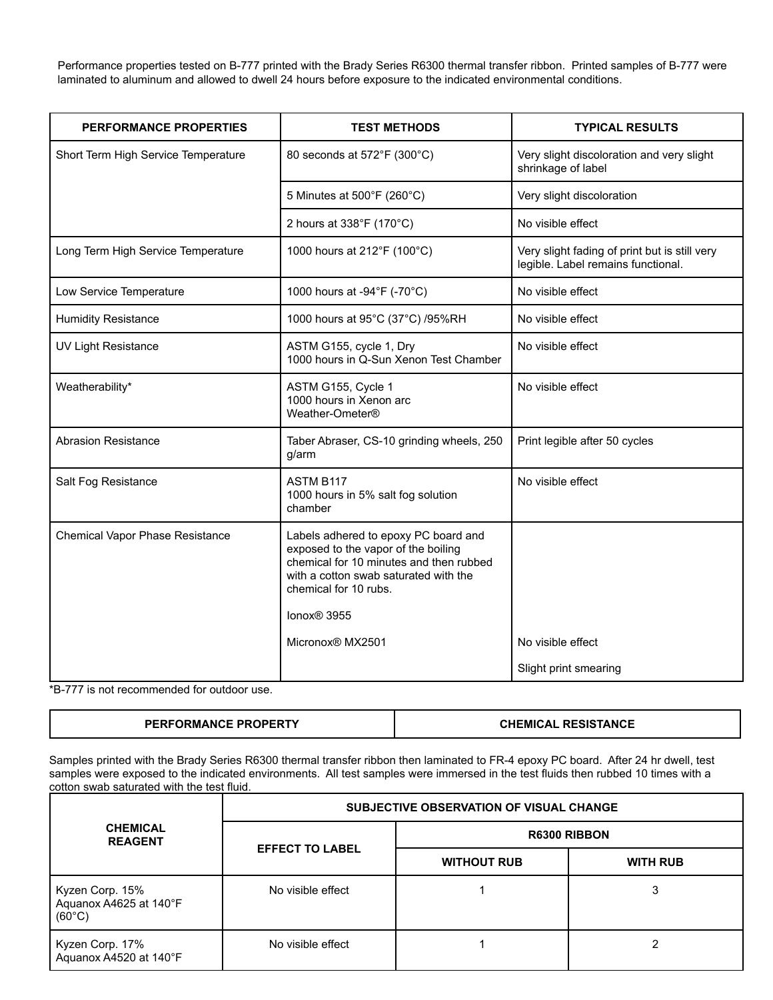Performance properties tested on B-777 printed with the Brady Series R6300 thermal transfer ribbon. Printed samples of B-777 were laminated to aluminum and allowed to dwell 24 hours before exposure to the indicated environmental conditions.

| <b>PERFORMANCE PROPERTIES</b>       | <b>TEST METHODS</b>                                                                                                                                                                                                 | <b>TYPICAL RESULTS</b>                                                              |
|-------------------------------------|---------------------------------------------------------------------------------------------------------------------------------------------------------------------------------------------------------------------|-------------------------------------------------------------------------------------|
| Short Term High Service Temperature | 80 seconds at 572°F (300°C)                                                                                                                                                                                         | Very slight discoloration and very slight<br>shrinkage of label                     |
|                                     | 5 Minutes at 500°F (260°C)                                                                                                                                                                                          | Very slight discoloration                                                           |
|                                     | 2 hours at 338°F (170°C)                                                                                                                                                                                            | No visible effect                                                                   |
| Long Term High Service Temperature  | 1000 hours at 212°F (100°C)                                                                                                                                                                                         | Very slight fading of print but is still very<br>legible. Label remains functional. |
| Low Service Temperature             | 1000 hours at -94°F (-70°C)                                                                                                                                                                                         | No visible effect                                                                   |
| <b>Humidity Resistance</b>          | 1000 hours at 95°C (37°C) /95%RH                                                                                                                                                                                    | No visible effect                                                                   |
| <b>UV Light Resistance</b>          | ASTM G155, cycle 1, Dry<br>1000 hours in Q-Sun Xenon Test Chamber                                                                                                                                                   | No visible effect                                                                   |
| Weatherability*                     | ASTM G155, Cycle 1<br>1000 hours in Xenon arc<br>Weather-Ometer®                                                                                                                                                    | No visible effect                                                                   |
| <b>Abrasion Resistance</b>          | Taber Abraser, CS-10 grinding wheels, 250<br>g/arm                                                                                                                                                                  | Print legible after 50 cycles                                                       |
| Salt Fog Resistance                 | <b>ASTM B117</b><br>1000 hours in 5% salt fog solution<br>chamber                                                                                                                                                   | No visible effect                                                                   |
| Chemical Vapor Phase Resistance     | Labels adhered to epoxy PC board and<br>exposed to the vapor of the boiling<br>chemical for 10 minutes and then rubbed<br>with a cotton swab saturated with the<br>chemical for 10 rubs.<br>lonox <sup>®</sup> 3955 |                                                                                     |
|                                     | Micronox® MX2501                                                                                                                                                                                                    | No visible effect                                                                   |
|                                     |                                                                                                                                                                                                                     | Slight print smearing                                                               |

\*B-777 is not recommended for outdoor use.

| <b>PERFORMANCE PROPERTY</b> | <b>RESISTANCE</b> |
|-----------------------------|-------------------|
|                             | CHEMICAL          |

Samples printed with the Brady Series R6300 thermal transfer ribbon then laminated to FR-4 epoxy PC board. After 24 hr dwell, test samples were exposed to the indicated environments. All test samples were immersed in the test fluids then rubbed 10 times with a cotton swab saturated with the test fluid.

|                                                              |                        | SUBJECTIVE OBSERVATION OF VISUAL CHANGE |                 |
|--------------------------------------------------------------|------------------------|-----------------------------------------|-----------------|
| <b>CHEMICAL</b><br><b>REAGENT</b>                            | <b>EFFECT TO LABEL</b> | <b>R6300 RIBBON</b>                     |                 |
|                                                              |                        | <b>WITHOUT RUB</b>                      | <b>WITH RUB</b> |
| Kyzen Corp. 15%<br>Aquanox A4625 at 140°F<br>$(60^{\circ}C)$ | No visible effect      |                                         |                 |
| Kyzen Corp. 17%<br>Aquanox A4520 at 140°F                    | No visible effect      |                                         |                 |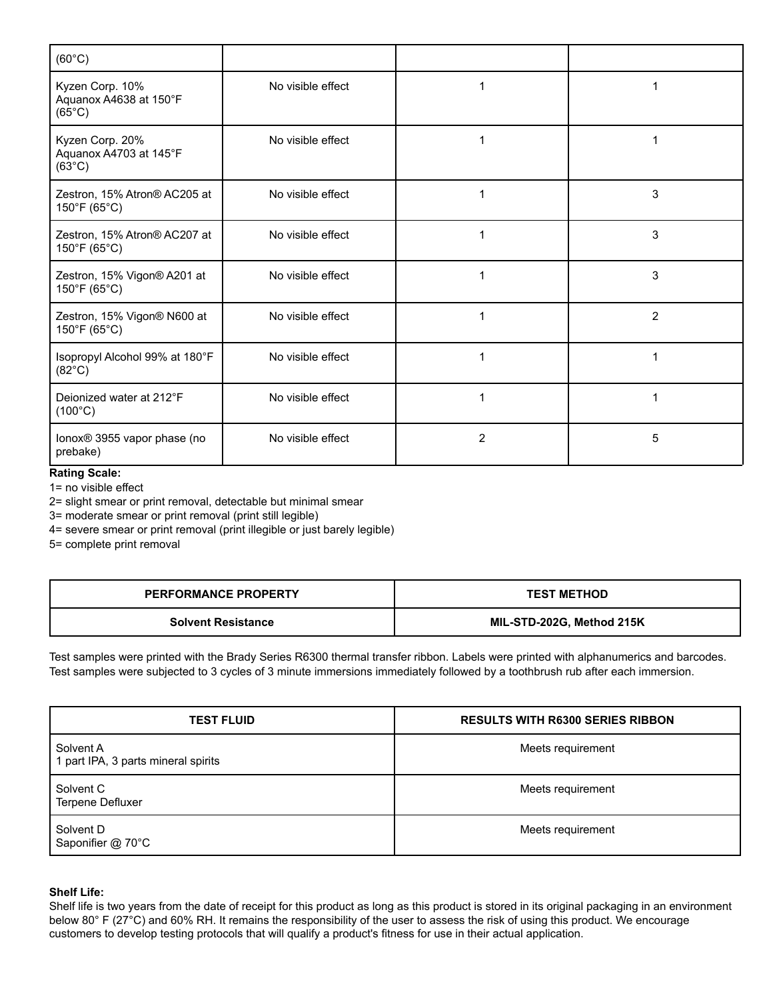| $(60^{\circ}C)$                                              |                   |                |                |
|--------------------------------------------------------------|-------------------|----------------|----------------|
| Kyzen Corp. 10%<br>Aquanox A4638 at 150°F<br>$(65^{\circ}C)$ | No visible effect | 1              | 1              |
| Kyzen Corp. 20%<br>Aquanox A4703 at 145°F<br>$(63^{\circ}C)$ | No visible effect | 1              |                |
| Zestron, 15% Atron® AC205 at<br>150°F (65°C)                 | No visible effect | 1              | 3              |
| Zestron, 15% Atron® AC207 at<br>150°F (65°C)                 | No visible effect | 1              | 3              |
| Zestron, 15% Vigon® A201 at<br>150°F (65°C)                  | No visible effect | 1              | 3              |
| Zestron, 15% Vigon® N600 at<br>150°F (65°C)                  | No visible effect | 1              | $\overline{2}$ |
| Isopropyl Alcohol 99% at 180°F<br>$(82^{\circ}C)$            | No visible effect | 1              | 1              |
| Deionized water at 212°F<br>$(100^{\circ}C)$                 | No visible effect | 1              | 1              |
| lonox® 3955 vapor phase (no<br>prebake)                      | No visible effect | $\overline{2}$ | 5              |

# **Rating Scale:**

1= no visible effect

2= slight smear or print removal, detectable but minimal smear

3= moderate smear or print removal (print still legible)

4= severe smear or print removal (print illegible or just barely legible)

5= complete print removal

| <b>PERFORMANCE PROPERTY</b> | <b>TEST METHOD</b>        |
|-----------------------------|---------------------------|
| <b>Solvent Resistance</b>   | MIL-STD-202G, Method 215K |

Test samples were printed with the Brady Series R6300 thermal transfer ribbon. Labels were printed with alphanumerics and barcodes. Test samples were subjected to 3 cycles of 3 minute immersions immediately followed by a toothbrush rub after each immersion.

| <b>TEST FLUID</b>                                | <b>RESULTS WITH R6300 SERIES RIBBON</b> |
|--------------------------------------------------|-----------------------------------------|
| Solvent A<br>1 part IPA, 3 parts mineral spirits | Meets requirement                       |
| Solvent C<br>Terpene Defluxer                    | Meets requirement                       |
| Solvent D<br>Saponifier @ 70°C                   | Meets requirement                       |

# **Shelf Life:**

Shelf life is two years from the date of receipt for this product as long as this product is stored in its original packaging in an environment below 80° F (27°C) and 60% RH. It remains the responsibility of the user to assess the risk of using this product. We encourage customers to develop testing protocols that will qualify a product's fitness for use in their actual application.